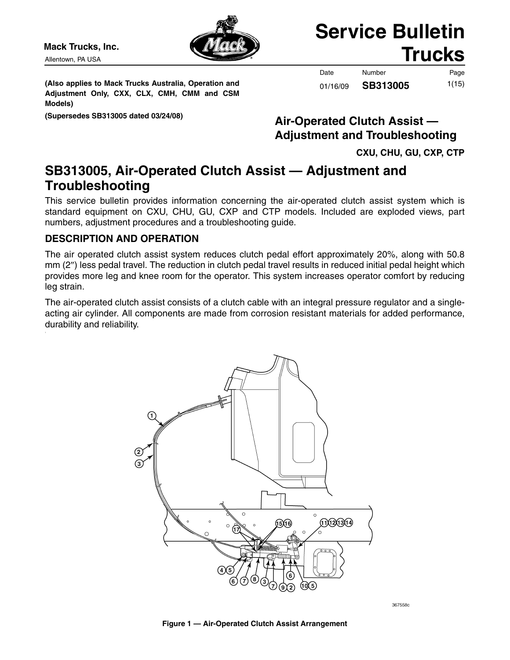Allentown, PA USA



# **Service Bulletin** Mack Trucks, Inc. **Mack Trucks**

**(Also applies to Mack Trucks Australia, Operation and Adjustment Only, CXX, CLX, CMH, CMM and CSM Models)**

Date Number Page 1(15) 01/16/09 **SB313005**

# **(Supersedes SB313005 dated 03/24/08) Air-Operated Clutch Assist — Adjustment and Troubleshooting**

**CXU, CHU, GU, CXP, CTP**

# **SB313005, Air-Operated Clutch Assist — Adjustment and Troubleshooting**

This service bulletin provides information concerning the air-operated clutch assist system which is standard equipment on CXU, CHU, GU, CXP and CTP models. Included are exploded views, part numbers, adjustment procedures and a troubleshooting guide.

# **DESCRIPTION AND OPERATION**

The air operated clutch assist system reduces clutch pedal effort approximately 20%, along with 50.8 mm (2″) less pedal travel. The reduction in clutch pedal travel results in reduced initial pedal height which provides more leg and knee room for the operator. This system increases operator comfort by reducing leg strain.

The air-operated clutch assist consists of a clutch cable with an integral pressure regulator and a singleacting air cylinder. All components are made from corrosion resistant materials for added performance, durability and reliability.



367558c

#### **Figure 1 — Air-Operated Clutch Assist Arrangement**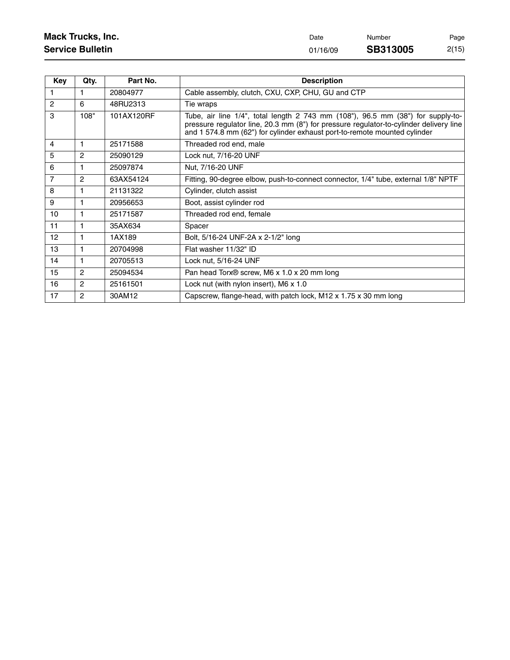| <b>Mack Trucks, Inc.</b> | Date     | Number          | Page  |
|--------------------------|----------|-----------------|-------|
| <b>Service Bulletin</b>  | 01/16/09 | <b>SB313005</b> | 2(15) |

| Key            | Qty.           | Part No.   | <b>Description</b>                                                                                                                                                                                                                                     |
|----------------|----------------|------------|--------------------------------------------------------------------------------------------------------------------------------------------------------------------------------------------------------------------------------------------------------|
| 1              | 1              | 20804977   | Cable assembly, clutch, CXU, CXP, CHU, GU and CTP                                                                                                                                                                                                      |
| $\overline{2}$ | 6              | 48RU2313   | Tie wraps                                                                                                                                                                                                                                              |
| 3              | 108"           | 101AX120RF | Tube, air line 1/4", total length 2 743 mm (108"), 96.5 mm (38") for supply-to-<br>pressure regulator line, 20.3 mm (8") for pressure regulator-to-cylinder delivery line<br>and 1 574.8 mm (62") for cylinder exhaust port-to-remote mounted cylinder |
| $\overline{4}$ | $\mathbf{1}$   | 25171588   | Threaded rod end, male                                                                                                                                                                                                                                 |
| 5              | 2              | 25090129   | Lock nut, 7/16-20 UNF                                                                                                                                                                                                                                  |
| 6              | $\mathbf{1}$   | 25097874   | Nut, 7/16-20 UNF                                                                                                                                                                                                                                       |
| $\overline{7}$ | $\overline{2}$ | 63AX54124  | Fitting, 90-degree elbow, push-to-connect connector, 1/4" tube, external 1/8" NPTF                                                                                                                                                                     |
| 8              | $\mathbf{1}$   | 21131322   | Cylinder, clutch assist                                                                                                                                                                                                                                |
| 9              | $\mathbf{1}$   | 20956653   | Boot, assist cylinder rod                                                                                                                                                                                                                              |
| 10             | $\mathbf{1}$   | 25171587   | Threaded rod end, female                                                                                                                                                                                                                               |
| 11             | $\mathbf{1}$   | 35AX634    | Spacer                                                                                                                                                                                                                                                 |
| 12             | $\mathbf{1}$   | 1AX189     | Bolt, 5/16-24 UNF-2A x 2-1/2" long                                                                                                                                                                                                                     |
| 13             | $\mathbf{1}$   | 20704998   | Flat washer 11/32" ID                                                                                                                                                                                                                                  |
| 14             | $\mathbf{1}$   | 20705513   | Lock nut, 5/16-24 UNF                                                                                                                                                                                                                                  |
| 15             | 2              | 25094534   | Pan head Torx <sup>®</sup> screw, M6 x 1.0 x 20 mm long                                                                                                                                                                                                |
| 16             | 2              | 25161501   | Lock nut (with nylon insert), M6 x 1.0                                                                                                                                                                                                                 |
| 17             | $\overline{2}$ | 30AM12     | Capscrew, flange-head, with patch lock, M12 x 1.75 x 30 mm long                                                                                                                                                                                        |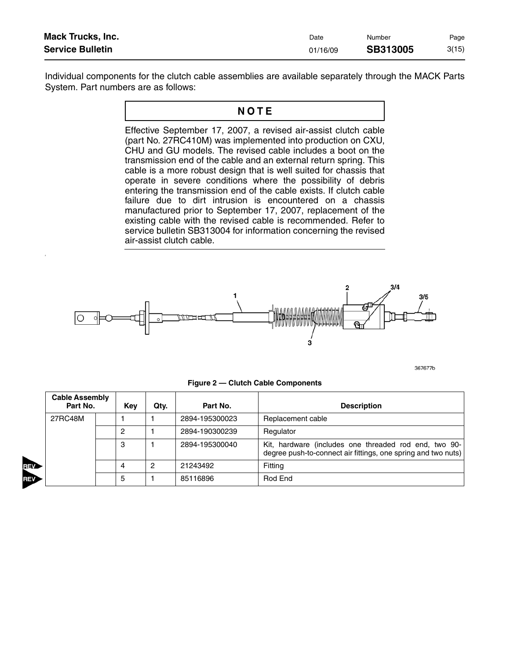| <b>Mack Trucks, Inc.</b> | Date     | Number          | Page  |
|--------------------------|----------|-----------------|-------|
| <b>Service Bulletin</b>  | 01/16/09 | <b>SB313005</b> | 3(15) |

Individual components for the clutch cable assemblies are available separately through the MACK Parts System. Part numbers are as follows:

## NOTE

Effective September 17, 2007, a revised air-assist clutch cable (part No. 27RC410M) was implemented into production on CXU, CHU and GU models. The revised cable includes a boot on the transmission end of the cable and an external return spring. This cable is a more robust design that is well suited for chassis that operate in severe conditions where the possibility of debris entering the transmission end of the cable exists. If clutch cable failure due to dirt intrusion is encountered on a chassis manufactured prior to September 17, 2007, replacement of the existing cable with the revised cable is recommended. Refer to service bulletin SB313004 for information concerning the revised air-assist clutch cable.



2

**REV** 

367677b

| <b>Cable Assembly</b><br>Part No. |  | Key | Qtv. | Part No.       | <b>Description</b>                                                                                                     |
|-----------------------------------|--|-----|------|----------------|------------------------------------------------------------------------------------------------------------------------|
| 27RC48M                           |  |     |      | 2894-195300023 | Replacement cable                                                                                                      |
|                                   |  | ∩   |      | 2894-190300239 | Regulator                                                                                                              |
|                                   |  | 3   |      | 2894-195300040 | Kit, hardware (includes one threaded rod end, two 90-<br>degree push-to-connect air fittings, one spring and two nuts) |
|                                   |  | 4   | 2    | 21243492       | Fitting                                                                                                                |
|                                   |  | 5   |      | 85116896       | Rod End                                                                                                                |

**Figure 2 — Clutch Cable Components**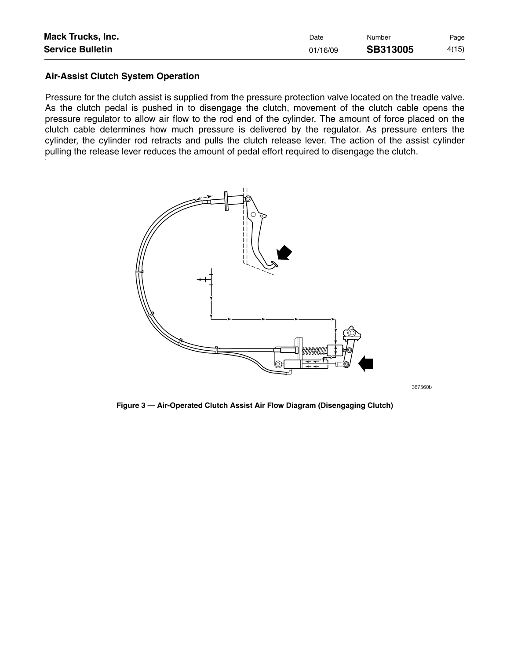| <b>Mack Trucks, Inc.</b> | Date     | Number   | Page  |
|--------------------------|----------|----------|-------|
| <b>Service Bulletin</b>  | 01/16/09 | SB313005 | 4(15) |

#### **Air-Assist Clutch System Operation**

Pressure for the clutch assist is supplied from the pressure protection valve located on the treadle valve. As the clutch pedal is pushed in to disengage the clutch, movement of the clutch cable opens the pressure regulator to allow air flow to the rod end of the cylinder. The amount of force placed on the clutch cable determines how much pressure is delivered by the regulator. As pressure enters the cylinder, the cylinder rod retracts and pulls the clutch release lever. The action of the assist cylinder pulling the release lever reduces the amount of pedal effort required to disengage the clutch.



367560b

**Figure 3 — Air-Operated Clutch Assist Air Flow Diagram (Disengaging Clutch)**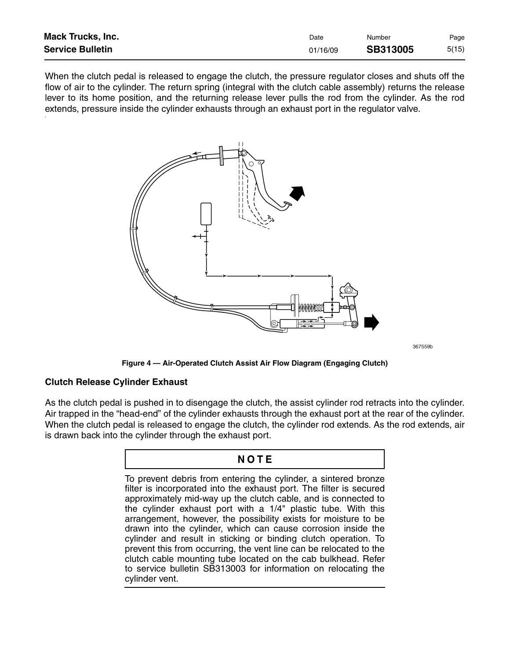| <b>Mack Trucks, Inc.</b> | Date     | Number          | Page  |
|--------------------------|----------|-----------------|-------|
| <b>Service Bulletin</b>  | 01/16/09 | <b>SB313005</b> | 5(15) |

When the clutch pedal is released to engage the clutch, the pressure regulator closes and shuts off the flow of air to the cylinder. The return spring (integral with the clutch cable assembly) returns the release lever to its home position, and the returning release lever pulls the rod from the cylinder. As the rod extends, pressure inside the cylinder exhausts through an exhaust port in the regulator valve.



367559b

**Figure 4 — Air-Operated Clutch Assist Air Flow Diagram (Engaging Clutch)**

#### **Clutch Release Cylinder Exhaust**

As the clutch pedal is pushed in to disengage the clutch, the assist cylinder rod retracts into the cylinder. Air trapped in the "head-end" of the cylinder exhausts through the exhaust port at the rear of the cylinder. When the clutch pedal is released to engage the clutch, the cylinder rod extends. As the rod extends, air is drawn back into the cylinder through the exhaust port.

## NOTE

To prevent debris from entering the cylinder, a sintered bronze filter is incorporated into the exhaust port. The filter is secured approximately mid-way up the clutch cable, and is connected to the cylinder exhaust port with a 1/4" plastic tube. With this arrangement, however, the possibility exists for moisture to be drawn into the cylinder, which can cause corrosion inside the cylinder and result in sticking or binding clutch operation. To prevent this from occurring, the vent line can be relocated to the clutch cable mounting tube located on the cab bulkhead. Refer to service bulletin SB313003 for information on relocating the cylinder vent.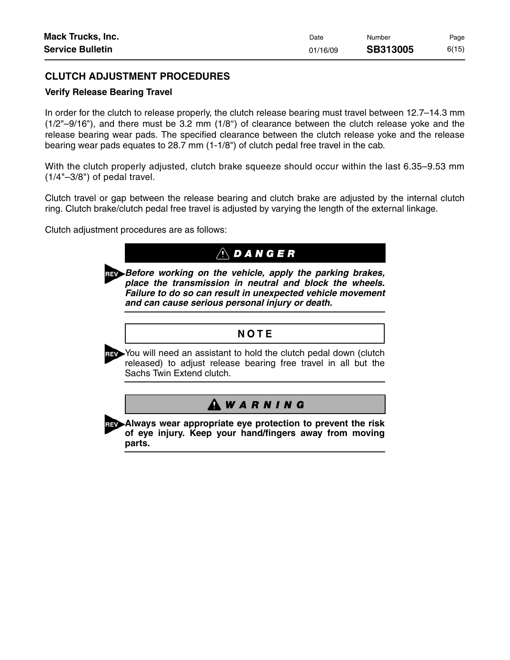| <b>Mack Trucks, Inc.</b> | Date     | Number          | Page  |
|--------------------------|----------|-----------------|-------|
| <b>Service Bulletin</b>  | 01/16/09 | <b>SB313005</b> | 6(15) |

## **CLUTCH ADJUSTMENT PROCEDURES**

#### **Verify Release Bearing Travel**

In order for the clutch to release properly, the clutch release bearing must travel between 12.7–14.3 mm (1/2"–9/16"), and there must be 3.2 mm (1/8″) of clearance between the clutch release yoke and the release bearing wear pads. The specified clearance between the clutch release yoke and the release bearing wear pads equates to 28.7 mm (1-1/8") of clutch pedal free travel in the cab.

With the clutch properly adjusted, clutch brake squeeze should occur within the last 6.35–9.53 mm  $(1/4" - 3/8")$  of pedal travel.

Clutch travel or gap between the release bearing and clutch brake are adjusted by the internal clutch ring. Clutch brake/clutch pedal free travel is adjusted by varying the length of the external linkage.

Clutch adjustment procedures are as follows:

|     | $\overline{D \land N}$ $\overline{G}$ $E$ $R$                                                                                                                                                                                        |
|-----|--------------------------------------------------------------------------------------------------------------------------------------------------------------------------------------------------------------------------------------|
| ĩΕV | Before working on the vehicle, apply the parking brakes,<br>place the transmission in neutral and block the wheels.<br>Failure to do so can result in unexpected vehicle movement<br>and can cause serious personal injury or death. |
|     | NOTE                                                                                                                                                                                                                                 |
|     |                                                                                                                                                                                                                                      |
|     | You will need an assistant to hold the clutch pedal down (clutch<br>released) to adjust release bearing free travel in all but the<br>Sachs Twin Extend clutch.                                                                      |
|     |                                                                                                                                                                                                                                      |
|     | <b>ARNING</b>                                                                                                                                                                                                                        |

**Always wear appropriate eye protection to prevent the risk of eye injury. Keep your hand/fingers away from moving parts.**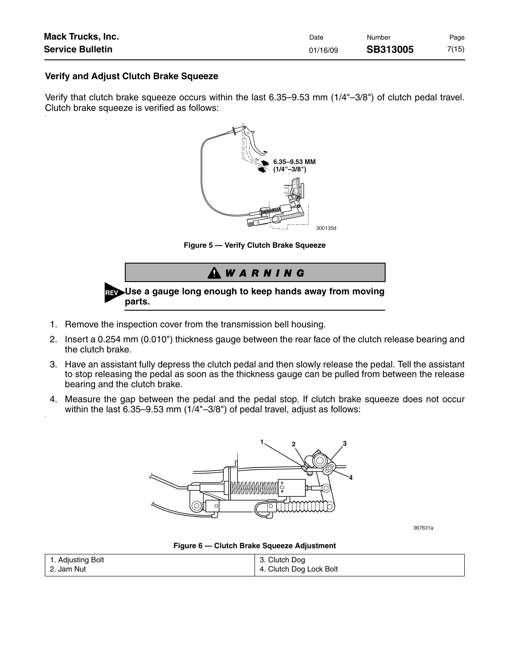| <b>Mack Trucks, Inc.</b> | Date     | Number          | Page  |
|--------------------------|----------|-----------------|-------|
| <b>Service Bulletin</b>  | 01/16/09 | <b>SB313005</b> | 7(15) |

#### **Verify and Adjust Clutch Brake Squeeze**

5

6

Verify that clutch brake squeeze occurs within the last 6.35–9.53 mm (1/4"–3/8") of clutch pedal travel. Clutch brake squeeze is verified as follows:



**Figure 5 — Verify Clutch Brake Squeeze**



- 1. Remove the inspection cover from the transmission bell housing.
- 2. Insert a 0.254 mm (0.010") thickness gauge between the rear face of the clutch release bearing and the clutch brake.
- 3. Have an assistant fully depress the clutch pedal and then slowly release the pedal. Tell the assistant to stop releasing the pedal as soon as the thickness gauge can be pulled from between the release bearing and the clutch brake.
- 4. Measure the gap between the pedal and the pedal stop. If clutch brake squeeze does not occur within the last 6.35–9.53 mm (1/4"–3/8") of pedal travel, adjust as follows:



367631a

**Figure 6 — Clutch Brake Squeeze Adjustment**

| 1. Adjusting Bolt | 3. Clutch Dog           |
|-------------------|-------------------------|
| 2. Jam Nut        | 4. Clutch Dog Lock Bolt |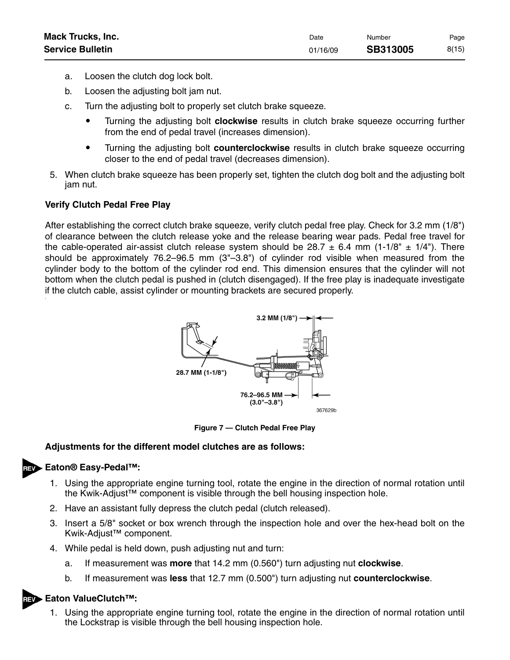| <b>Mack Trucks, Inc.</b> | Date     | Number          | Page  |
|--------------------------|----------|-----------------|-------|
| <b>Service Bulletin</b>  | 01/16/09 | <b>SB313005</b> | 8(15) |

- a. Loosen the clutch dog lock bolt.
- b. Loosen the adjusting bolt jam nut.
- c. Turn the adjusting bolt to properly set clutch brake squeeze.
	- $\bullet$  Turning the adjusting bolt **clockwise** results in clutch brake squeeze occurring further from the end of pedal travel (increases dimension).
	- $\bullet$  Turning the adjusting bolt **counterclockwise** results in clutch brake squeeze occurring closer to the end of pedal travel (decreases dimension).
- 5. When clutch brake squeeze has been properly set, tighten the clutch dog bolt and the adjusting bolt jam nut.

#### **Verify Clutch Pedal Free Play**

After establishing the correct clutch brake squeeze, verify clutch pedal free play. Check for 3.2 mm (1/8") of clearance between the clutch release yoke and the release bearing wear pads. Pedal free travel for the cable-operated air-assist clutch release system should be 28.7  $\pm$  6.4 mm (1-1/8"  $\pm$  1/4"). There should be approximately 76.2–96.5 mm (3"–3.8") of cylinder rod visible when measured from the cylinder body to the bottom of the cylinder rod end. This dimension ensures that the cylinder will not bottom when the clutch pedal is pushed in (clutch disengaged). If the free play is inadequate investigate if the clutch cable, assist cylinder or mounting brackets are secured properly.



**Figure 7 — Clutch Pedal Free Play**

#### **Adjustments for the different model clutches are as follows:**

#### **Eaton® Easy-Pedal™:**

- 1. Using the appropriate engine turning tool, rotate the engine in the direction of normal rotation until the Kwik-Adjust™ component is visible through the bell housing inspection hole.
- 2. Have an assistant fully depress the clutch pedal (clutch released).
- 3. Insert a 5/8" socket or box wrench through the inspection hole and over the hex-head bolt on the Kwik-Adjust™ component.
- 4. While pedal is held down, push adjusting nut and turn:
	- a. If measurement was **more** that 14.2 mm (0.560") turn adjusting nut **clockwise**.
	- b. If measurement was **less** that 12.7 mm (0.500") turn adjusting nut **counterclockwise**.

#### **Eaton ValueClutch™:**

1. Using the appropriate engine turning tool, rotate the engine in the direction of normal rotation until the Lockstrap is visible through the bell housing inspection hole.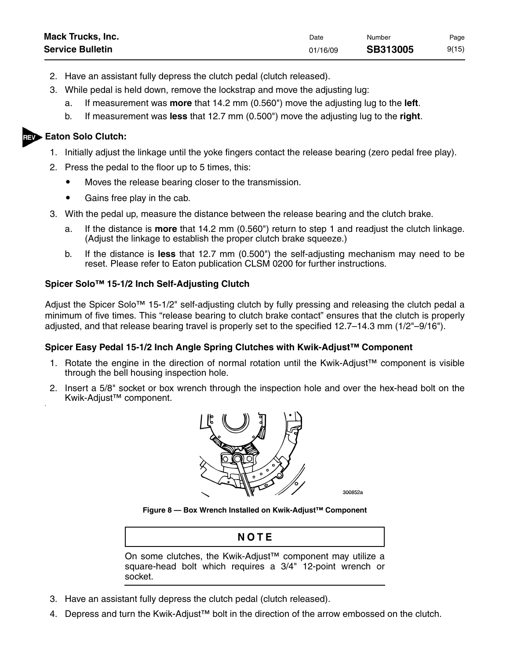| <b>Mack Trucks, Inc.</b> | Date     | Number          | Page  |
|--------------------------|----------|-----------------|-------|
| <b>Service Bulletin</b>  | 01/16/09 | <b>SB313005</b> | 9(15) |

- 2. Have an assistant fully depress the clutch pedal (clutch released).
- 3. While pedal is held down, remove the lockstrap and move the adjusting lug:
	- a. If measurement was **more** that 14.2 mm (0.560") move the adjusting lug to the **left**.
	- b. If measurement was **less** that 12.7 mm (0.500") move the adjusting lug to the **right**.

#### **Eaton Solo Clutch:**

8

- 1. Initially adjust the linkage until the yoke fingers contact the release bearing (zero pedal free play).
- 2. Press the pedal to the floor up to 5 times, this:
	- $\bullet$ Moves the release bearing closer to the transmission.
	- $\bullet$ Gains free play in the cab.
- 3. With the pedal up, measure the distance between the release bearing and the clutch brake.
	- a. If the distance is **more** that 14.2 mm (0.560") return to step 1 and readjust the clutch linkage. (Adjust the linkage to establish the proper clutch brake squeeze.)
	- b. If the distance is **less** that 12.7 mm (0.500") the self-adjusting mechanism may need to be reset. Please refer to Eaton publication CLSM 0200 for further instructions.

#### **Spicer Solo™ 15-1/2 Inch Self-Adjusting Clutch**

Adjust the Spicer Solo™ 15-1/2" self-adjusting clutch by fully pressing and releasing the clutch pedal a minimum of five times. This "release bearing to clutch brake contact" ensures that the clutch is properly adjusted, and that release bearing travel is properly set to the specified 12.7–14.3 mm (1/2"–9/16").

#### **Spicer Easy Pedal 15-1/2 Inch Angle Spring Clutches with Kwik-Adjust™ Component**

- 1. Rotate the engine in the direction of normal rotation until the Kwik-Adjust™ component is visible through the bell housing inspection hole.
- 2. Insert a 5/8" socket or box wrench through the inspection hole and over the hex-head bolt on the Kwik-Adjust™ component.



300852a

**Figure 8 — Box Wrench Installed on Kwik-Adjust™ Component**

# NOTE

On some clutches, the Kwik-Adjust™ component may utilize a square-head bolt which requires a 3/4" 12-point wrench or socket.

- 3. Have an assistant fully depress the clutch pedal (clutch released).
- 4. Depress and turn the Kwik-Adjust™ bolt in the direction of the arrow embossed on the clutch.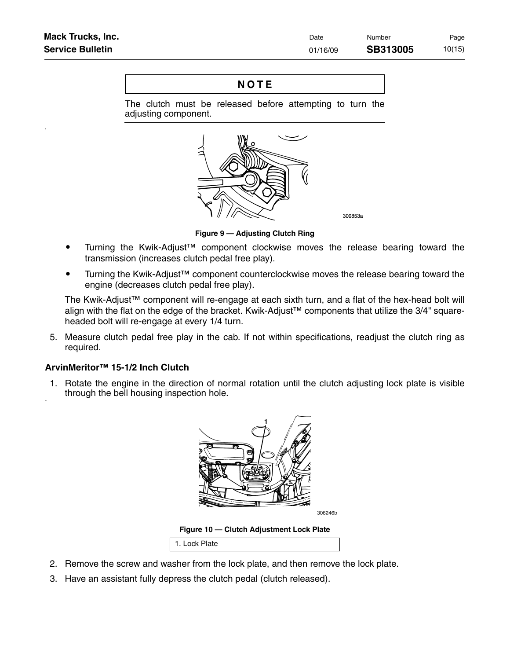9

10

# NOTE

The clutch must be released before attempting to turn the adjusting component.



**Figure 9 — Adjusting Clutch Ring**

- $\bullet$  Turning the Kwik-Adjust™ component clockwise moves the release bearing toward the transmission (increases clutch pedal free play).
- $\bullet$  Turning the Kwik-Adjust™ component counterclockwise moves the release bearing toward the engine (decreases clutch pedal free play).

The Kwik-Adjust™ component will re-engage at each sixth turn, and a flat of the hex-head bolt will align with the flat on the edge of the bracket. Kwik-Adjust™ components that utilize the 3/4" squareheaded bolt will re-engage at every 1/4 turn.

5. Measure clutch pedal free play in the cab. If not within specifications, readjust the clutch ring as required.

#### **ArvinMeritor™ 15-1/2 Inch Clutch**

1. Rotate the engine in the direction of normal rotation until the clutch adjusting lock plate is visible through the bell housing inspection hole.



**Figure 10 — Clutch Adjustment Lock Plate**

1. Lock Plate

- 2. Remove the screw and washer from the lock plate, and then remove the lock plate.
- 3. Have an assistant fully depress the clutch pedal (clutch released).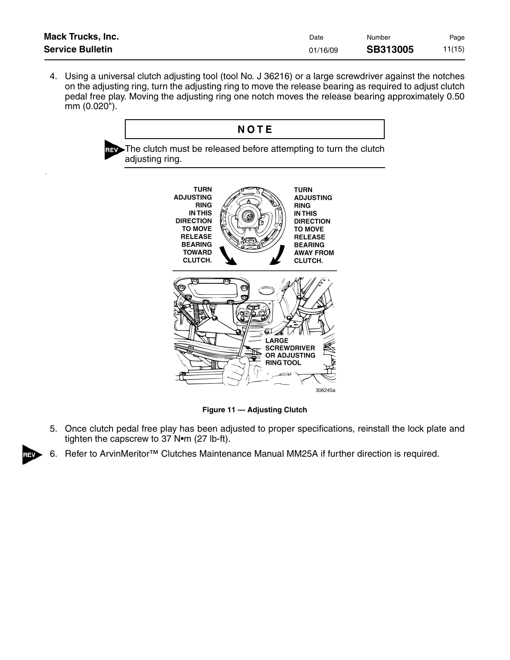| <b>Mack Trucks, Inc.</b> | Date     | Number          | Page   |
|--------------------------|----------|-----------------|--------|
| <b>Service Bulletin</b>  | 01/16/09 | <b>SB313005</b> | 11(15) |

4. Using a universal clutch adjusting tool (tool No. J 36216) or a large screwdriver against the notches on the adjusting ring, turn the adjusting ring to move the release bearing as required to adjust clutch pedal free play. Moving the adjusting ring one notch moves the release bearing approximately 0.50 mm (0.020").

# NOTE

The clutch must be released before attempting to turn the clutch adjusting ring.

11



**Figure 11 — Adjusting Clutch**

- 5. Once clutch pedal free play has been adjusted to proper specifications, reinstall the lock plate and tighten the capscrew to 37 N•m (27 lb-ft).
- 6. Refer to ArvinMeritor<sup>™</sup> Clutches Maintenance Manual MM25A if further direction is required.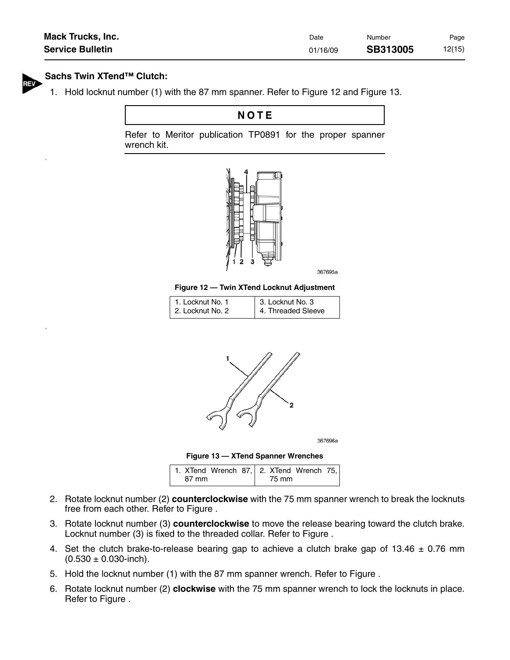| <b>Mack Trucks, Inc.</b> | Date     | Number          | Page   |
|--------------------------|----------|-----------------|--------|
| <b>Service Bulletin</b>  | 01/16/09 | <b>SB313005</b> | 12(15) |

#### **Sachs Twin XTend™ Clutch:**

13

1. Hold locknut number (1) with the 87 mm spanner. Refer to Figure 12 and Figure 13.

# NOTE

Refer to Meritor publication TP0891 for the proper spanner wrench kit.



367695a

**Figure 12 — Twin XTend Locknut Adjustment**

| 1. Locknut No. 1 | 3. Locknut No. 3   |
|------------------|--------------------|
| 2. Locknut No. 2 | 4. Threaded Sleeve |



367696a



|       | 1. XTend Wrench 87, 2. XTend Wrench 75, |
|-------|-----------------------------------------|
| 87 mm | 75 mm                                   |

- 2. Rotate locknut number (2) **counterclockwise** with the 75 mm spanner wrench to break the locknuts free from each other. Refer to Figure .
- 3. Rotate locknut number (3) **counterclockwise** to move the release bearing toward the clutch brake. Locknut number (3) is fixed to the threaded collar. Refer to Figure .
- 4. Set the clutch brake-to-release bearing gap to achieve a clutch brake gap of 13.46  $\pm$  0.76 mm  $(0.530 \pm 0.030$ -inch).
- 5. Hold the locknut number (1) with the 87 mm spanner wrench. Refer to Figure .
- 6. Rotate locknut number (2) **clockwise** with the 75 mm spanner wrench to lock the locknuts in place. Refer to Figure .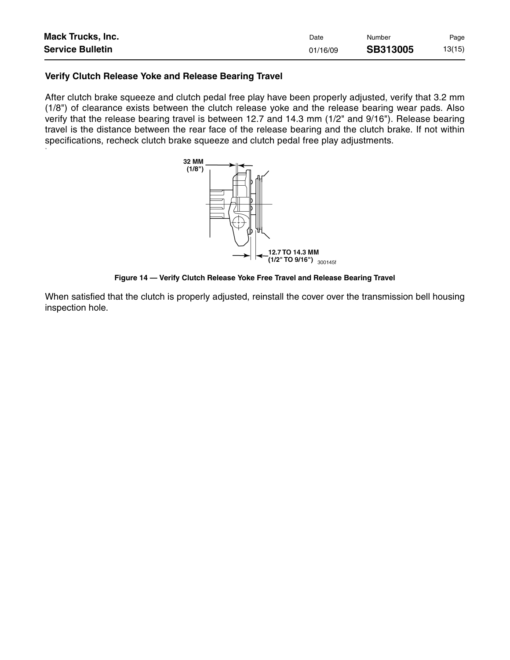| <b>Mack Trucks, Inc.</b> | Date     | Number   | Page   |
|--------------------------|----------|----------|--------|
| <b>Service Bulletin</b>  | 01/16/09 | SB313005 | 13(15) |

#### **Verify Clutch Release Yoke and Release Bearing Travel**

14

After clutch brake squeeze and clutch pedal free play have been properly adjusted, verify that 3.2 mm (1/8") of clearance exists between the clutch release yoke and the release bearing wear pads. Also verify that the release bearing travel is between 12.7 and 14.3 mm (1/2" and 9/16"). Release bearing travel is the distance between the rear face of the release bearing and the clutch brake. If not within specifications, recheck clutch brake squeeze and clutch pedal free play adjustments.



**Figure 14 — Verify Clutch Release Yoke Free Travel and Release Bearing Travel**

When satisfied that the clutch is properly adjusted, reinstall the cover over the transmission bell housing inspection hole.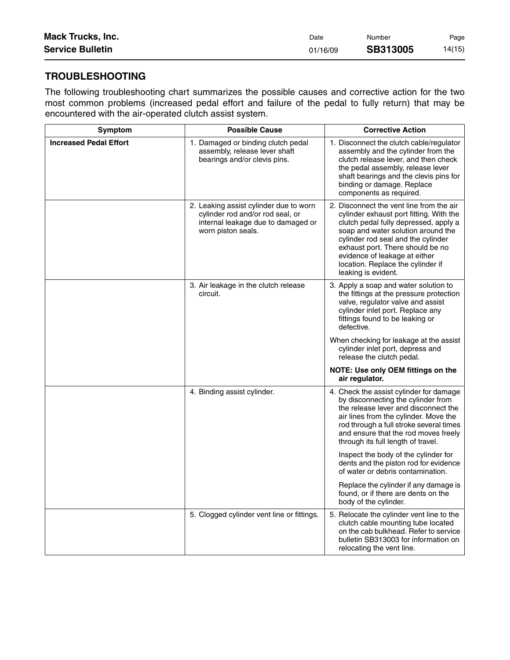| <b>Mack Trucks, Inc.</b> | Date     | Number   | Page   |
|--------------------------|----------|----------|--------|
| <b>Service Bulletin</b>  | 01/16/09 | SB313005 | 14(15) |

### **TROUBLESHOOTING**

The following troubleshooting chart summarizes the possible causes and corrective action for the two most common problems (increased pedal effort and failure of the pedal to fully return) that may be encountered with the air-operated clutch assist system.

| Symptom                       | <b>Possible Cause</b>                                                                                                                  | <b>Corrective Action</b>                                                                                                                                                                                                                                                                                                                  |
|-------------------------------|----------------------------------------------------------------------------------------------------------------------------------------|-------------------------------------------------------------------------------------------------------------------------------------------------------------------------------------------------------------------------------------------------------------------------------------------------------------------------------------------|
| <b>Increased Pedal Effort</b> | 1. Damaged or binding clutch pedal<br>assembly, release lever shaft<br>bearings and/or clevis pins.                                    | 1. Disconnect the clutch cable/regulator<br>assembly and the cylinder from the<br>clutch release lever, and then check<br>the pedal assembly, release lever<br>shaft bearings and the clevis pins for<br>binding or damage. Replace<br>components as required.                                                                            |
|                               | 2. Leaking assist cylinder due to worn<br>cylinder rod and/or rod seal, or<br>internal leakage due to damaged or<br>worn piston seals. | 2. Disconnect the vent line from the air<br>cylinder exhaust port fitting. With the<br>clutch pedal fully depressed, apply a<br>soap and water solution around the<br>cylinder rod seal and the cylinder<br>exhaust port. There should be no<br>evidence of leakage at either<br>location. Replace the cylinder if<br>leaking is evident. |
|                               | 3. Air leakage in the clutch release<br>circuit.                                                                                       | 3. Apply a soap and water solution to<br>the fittings at the pressure protection<br>valve, regulator valve and assist<br>cylinder inlet port. Replace any<br>fittings found to be leaking or<br>defective.                                                                                                                                |
|                               |                                                                                                                                        | When checking for leakage at the assist<br>cylinder inlet port, depress and<br>release the clutch pedal.                                                                                                                                                                                                                                  |
|                               |                                                                                                                                        | NOTE: Use only OEM fittings on the<br>air regulator.                                                                                                                                                                                                                                                                                      |
|                               | 4. Binding assist cylinder.                                                                                                            | 4. Check the assist cylinder for damage<br>by disconnecting the cylinder from<br>the release lever and disconnect the<br>air lines from the cylinder. Move the<br>rod through a full stroke several times<br>and ensure that the rod moves freely<br>through its full length of travel.                                                   |
|                               |                                                                                                                                        | Inspect the body of the cylinder for<br>dents and the piston rod for evidence<br>of water or debris contamination.                                                                                                                                                                                                                        |
|                               |                                                                                                                                        | Replace the cylinder if any damage is<br>found, or if there are dents on the<br>body of the cylinder.                                                                                                                                                                                                                                     |
|                               | 5. Clogged cylinder vent line or fittings.                                                                                             | 5. Relocate the cylinder vent line to the<br>clutch cable mounting tube located<br>on the cab bulkhead. Refer to service<br>bulletin SB313003 for information on<br>relocating the vent line.                                                                                                                                             |